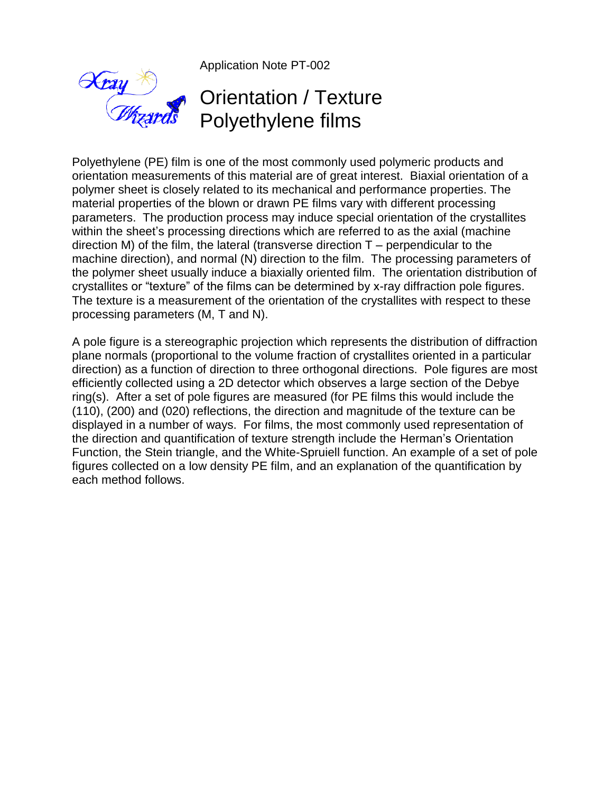Application Note PT-002

## Orientation / Texture Polyethylene films

Polyethylene (PE) film is one of the most commonly used polymeric products and orientation measurements of this material are of great interest. Biaxial orientation of a polymer sheet is closely related to its mechanical and performance properties. The material properties of the blown or drawn PE films vary with different processing parameters. The production process may induce special orientation of the crystallites within the sheet's processing directions which are referred to as the axial (machine direction M) of the film, the lateral (transverse direction  $T$  – perpendicular to the machine direction), and normal (N) direction to the film. The processing parameters of the polymer sheet usually induce a biaxially oriented film. The orientation distribution of crystallites or "texture" of the films can be determined by x-ray diffraction pole figures. The texture is a measurement of the orientation of the crystallites with respect to these processing parameters (M, T and N).

A pole figure is a stereographic projection which represents the distribution of diffraction plane normals (proportional to the volume fraction of crystallites oriented in a particular direction) as a function of direction to three orthogonal directions. Pole figures are most efficiently collected using a 2D detector which observes a large section of the Debye ring(s). After a set of pole figures are measured (for PE films this would include the (110), (200) and (020) reflections, the direction and magnitude of the texture can be displayed in a number of ways. For films, the most commonly used representation of the direction and quantification of texture strength include the Herman's Orientation Function, the Stein triangle, and the White-Spruiell function. An example of a set of pole figures collected on a low density PE film, and an explanation of the quantification by each method follows.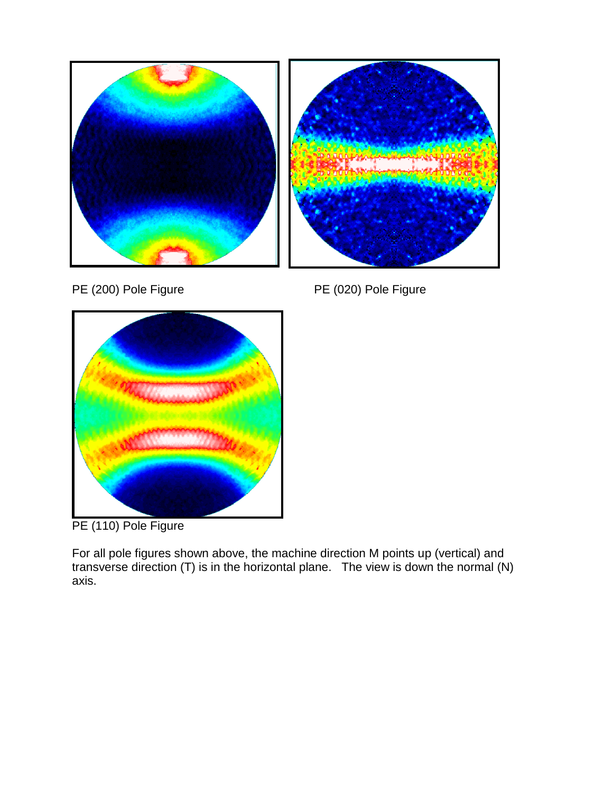



PE (200) Pole Figure PE (020) Pole Figure



PE (110) Pole Figure

For all pole figures shown above, the machine direction M points up (vertical) and transverse direction (T) is in the horizontal plane. The view is down the normal (N) axis.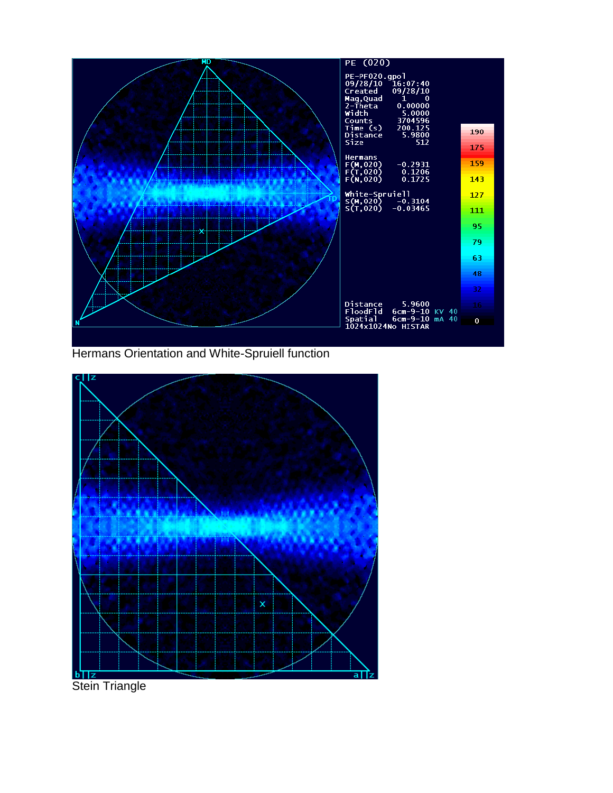

Hermans Orientation and White-Spruiell function

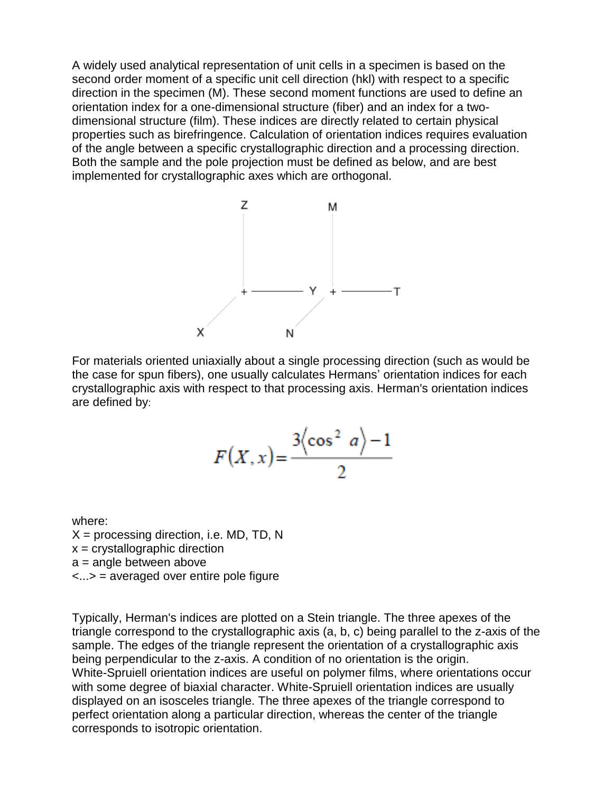A widely used analytical representation of unit cells in a specimen is based on the second order moment of a specific unit cell direction (hkl) with respect to a specific direction in the specimen (M). These second moment functions are used to define an orientation index for a one-dimensional structure (fiber) and an index for a twodimensional structure (film). These indices are directly related to certain physical properties such as birefringence. Calculation of orientation indices requires evaluation of the angle between a specific crystallographic direction and a processing direction. Both the sample and the pole projection must be defined as below, and are best implemented for crystallographic axes which are orthogonal.



For materials oriented uniaxially about a single processing direction (such as would be the case for spun fibers), one usually calculates Hermans' orientation indices for each crystallographic axis with respect to that processing axis. Herman's orientation indices are defined by:

$$
F(X, x) = \frac{3\left(\cos^2 a\right) - 1}{2}
$$

where:  $X =$  processing direction, i.e. MD, TD, N  $x =$  crystallographic direction  $a =$  angle between above <...> = averaged over entire pole figure

Typically, Herman's indices are plotted on a Stein triangle. The three apexes of the triangle correspond to the crystallographic axis (a, b, c) being parallel to the z-axis of the sample. The edges of the triangle represent the orientation of a crystallographic axis being perpendicular to the z-axis. A condition of no orientation is the origin. White-Spruiell orientation indices are useful on polymer films, where orientations occur with some degree of biaxial character. White-Spruiell orientation indices are usually displayed on an isosceles triangle. The three apexes of the triangle correspond to perfect orientation along a particular direction, whereas the center of the triangle corresponds to isotropic orientation.